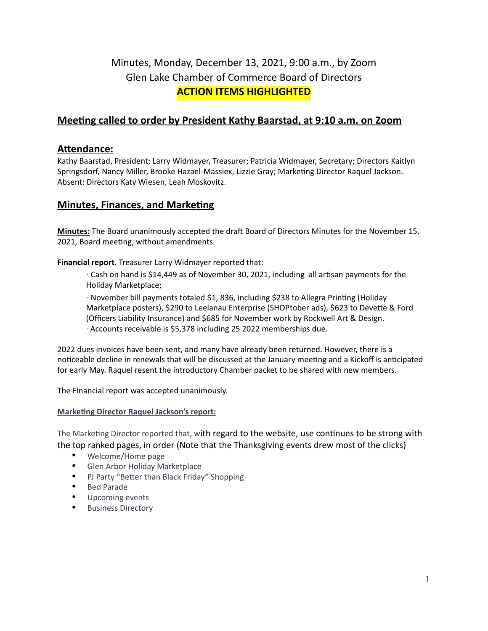# Minutes, Monday, December 13, 2021, 9:00 a.m., by Zoom Glen Lake Chamber of Commerce Board of Directors **ACTION ITEMS HIGHLIGHTED**

# **Meeting called to order by President Kathy Baarstad, at 9:10 a.m. on Zoom**

## Attendance:

Kathy Baarstad, President; Larry Widmayer, Treasurer; Patricia Widmayer, Secretary; Directors Kaitlyn Springsdorf, Nancy Miller, Brooke Hazael-Massiex, Lizzie Gray; Marketing Director Raquel Jackson. Absent: Directors Katy Wiesen, Leah Moskovitz.

# **Minutes, Finances, and Marketing**

Minutes: The Board unanimously accepted the draft Board of Directors Minutes for the November 15, 2021, Board meeting, without amendments.

#### **Financial report**. Treasurer Larry Widmayer reported that:

 $\cdot$  Cash on hand is \$14,449 as of November 30, 2021, including all artisan payments for the Holiday Marketplace;

· November bill payments totaled \$1, 836, including \$238 to Allegra Printing (Holiday Marketplace posters), \$290 to Leelanau Enterprise (SHOPtober ads), \$623 to Devette & Ford (Officers Liability Insurance) and \$685 for November work by Rockwell Art & Design. · Accounts receivable is \$5,378 including 25 2022 memberships due.

2022 dues invoices have been sent, and many have already been returned. However, there is a noticeable decline in renewals that will be discussed at the January meeting and a Kickoff is anticipated for early May. Raquel resent the introductory Chamber packet to be shared with new members.

The Financial report was accepted unanimously.

#### **Marketing Director Raquel Jackson's report:**

The Marketing Director reported that, with regard to the website, use continues to be strong with the top ranked pages, in order (Note that the Thanksgiving events drew most of the clicks)

- Welcome/Home page
- Glen Arbor Holiday Marketplace
- PJ Party "Better than Black Friday" Shopping
- Bed Parade
- Upcoming events
- Business Directory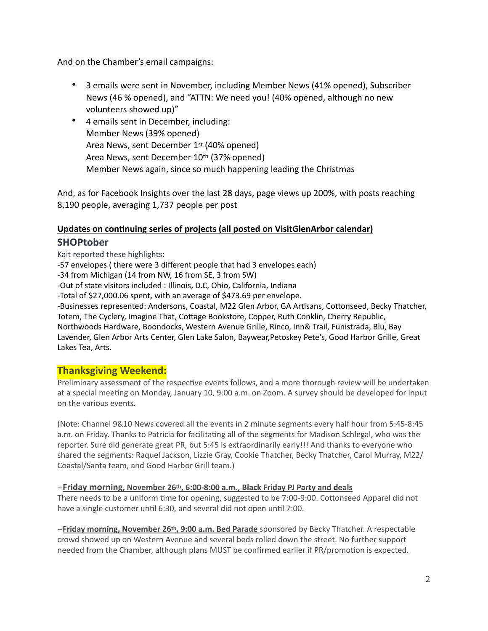And on the Chamber's email campaigns:

- 3 emails were sent in November, including Member News (41% opened), Subscriber News (46 % opened), and "ATTN: We need you! (40% opened, although no new volunteers showed up)"
- 4 emails sent in December, including: Member News (39% opened) Area News, sent December 1st (40% opened) Area News, sent December 10th (37% opened) Member News again, since so much happening leading the Christmas

And, as for Facebook Insights over the last 28 days, page views up 200%, with posts reaching 8,190 people, averaging 1,737 people per post

## **Updates on continuing series of projects (all posted on VisitGlenArbor calendar) SHOPtober**

Kait reported these highlights:

-57 envelopes ( there were 3 different people that had 3 envelopes each)

-34 from Michigan (14 from NW, 16 from SE, 3 from SW)

-Out of state visitors included : Illinois, D.C, Ohio, California, Indiana

-Total of \$27,000.06 spent, with an average of \$473.69 per envelope.

-Businesses represented: Andersons, Coastal, M22 Glen Arbor, GA Artisans, Cottonseed, Becky Thatcher, Totem, The Cyclery, Imagine That, Cottage Bookstore, Copper, Ruth Conklin, Cherry Republic, Northwoods Hardware, Boondocks, Western Avenue Grille, Rinco, Inn& Trail, Funistrada, Blu, Bay Lavender, Glen Arbor Arts Center, Glen Lake Salon, Baywear,Petoskey Pete's, Good Harbor Grille, Great Lakes Tea, Arts.

## **Thanksgiving Weekend:**

Preliminary assessment of the respective events follows, and a more thorough review will be undertaken at a special meeting on Monday, January 10, 9:00 a.m. on Zoom. A survey should be developed for input on the various events.

(Note: Channel 9&10 News covered all the events in 2 minute segments every half hour from 5:45-8:45 a.m. on Friday. Thanks to Patricia for facilitating all of the segments for Madison Schlegal, who was the reporter. Sure did generate great PR, but 5:45 is extraordinarily early!!! And thanks to everyone who shared the segments: Raquel Jackson, Lizzie Gray, Cookie Thatcher, Becky Thatcher, Carol Murray, M22/ Coastal/Santa team, and Good Harbor Grill team.)

#### --**Friday morning, November 26th, 6:00-8:00 a.m., Black Friday PJ Party and deals**

There needs to be a uniform time for opening, suggested to be 7:00-9:00. Cottonseed Apparel did not have a single customer until 6:30, and several did not open until 7:00.

--**Friday morning, November 26th, 9:00 a.m. Bed Parade** sponsored by Becky Thatcher. A respectable crowd showed up on Western Avenue and several beds rolled down the street. No further support needed from the Chamber, although plans MUST be confirmed earlier if PR/promotion is expected.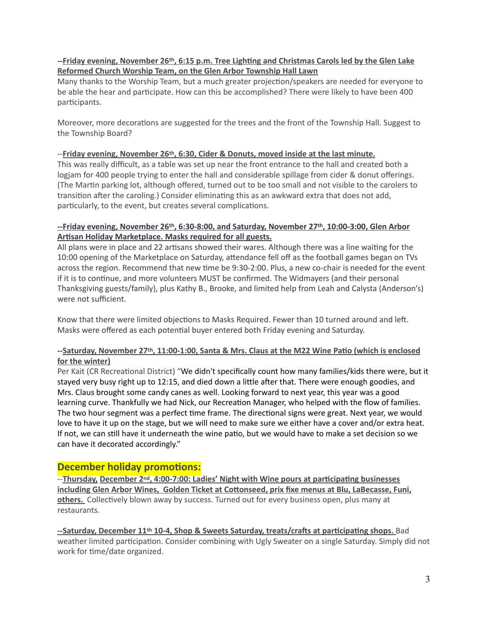#### **--Friday evening, November 26th, 6:15 p.m. Tree Lighting and Christmas Carols led by the Glen Lake Reformed Church Worship Team, on the Glen Arbor Township Hall Lawn**

Many thanks to the Worship Team, but a much greater projection/speakers are needed for everyone to be able the hear and participate. How can this be accomplished? There were likely to have been 400 participants.

Moreover, more decorations are suggested for the trees and the front of the Township Hall. Suggest to the Township Board?

#### --**Friday evening, November 26th, 6:30, Cider & Donuts, moved inside at the last minute.**

This was really difficult, as a table was set up near the front entrance to the hall and created both a logjam for 400 people trying to enter the hall and considerable spillage from cider & donut offerings. (The Martin parking lot, although offered, turned out to be too small and not visible to the carolers to transition after the caroling.) Consider eliminating this as an awkward extra that does not add, particularly, to the event, but creates several complications.

#### **--Friday evening, November 26th, 6:30-8:00, and Saturday, November 27th, 10:00-3:00, Glen Arbor Artisan Holiday Marketplace. Masks required for all guests.**

All plans were in place and 22 artisans showed their wares. Although there was a line waiting for the 10:00 opening of the Marketplace on Saturday, attendance fell off as the football games began on TVs across the region. Recommend that new time be 9:30-2:00. Plus, a new co-chair is needed for the event if it is to continue, and more volunteers MUST be confirmed. The Widmayers (and their personal Thanksgiving guests/family), plus Kathy B., Brooke, and limited help from Leah and Calysta (Anderson's) were not sufficient.

Know that there were limited objections to Masks Required. Fewer than 10 turned around and left. Masks were offered as each potential buyer entered both Friday evening and Saturday.

#### --Saturday, November 27<sup>th</sup>, 11:00-1:00, Santa & Mrs. Claus at the M22 Wine Patio (which is enclosed **for the winter)**

Per Kait (CR Recreational District) "We didn't specifically count how many families/kids there were, but it stayed very busy right up to 12:15, and died down a little after that. There were enough goodies, and Mrs. Claus brought some candy canes as well. Looking forward to next year, this year was a good learning curve. Thankfully we had Nick, our Recreation Manager, who helped with the flow of families. The two hour segment was a perfect time frame. The directional signs were great. Next year, we would love to have it up on the stage, but we will need to make sure we either have a cover and/or extra heat. If not, we can still have it underneath the wine patio, but we would have to make a set decision so we can have it decorated accordingly."

## **December holiday promotions:**

<sup>--</sup>**Thursday, December 2<sup>nd</sup>, 4:00-7:00: Ladies' Night with Wine pours at participating businesses** including Glen Arbor Wines, Golden Ticket at Cottonseed, prix fixe menus at Blu, LaBecasse, Funi, **others.** Collectively blown away by success. Turned out for every business open, plus many at restaurants.

**--Saturday, December 11th 10-4, Shop & Sweets Saturday, treats/crafts at participating shops.** Bad weather limited participation. Consider combining with Ugly Sweater on a single Saturday. Simply did not work for time/date organized.